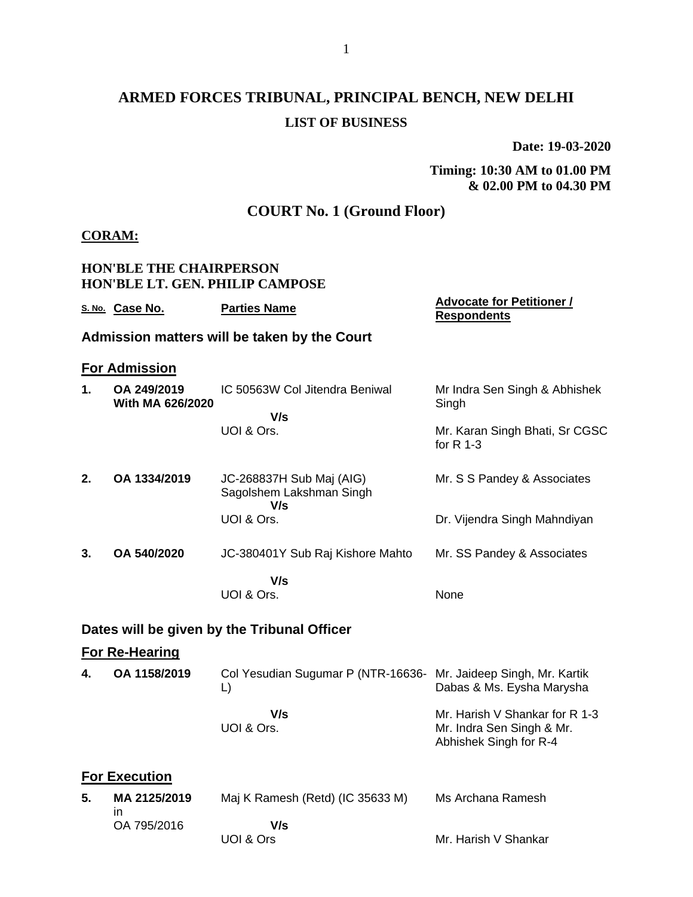# **ARMED FORCES TRIBUNAL, PRINCIPAL BENCH, NEW DELHI LIST OF BUSINESS**

**Date: 19-03-2020**

## **Timing: 10:30 AM to 01.00 PM & 02.00 PM to 04.30 PM**

# **COURT No. 1 (Ground Floor)**

### **CORAM:**

|    | <b>HON'BLE THE CHAIRPERSON</b><br><b>HON'BLE LT. GEN. PHILIP CAMPOSE</b> |                                                                        |                                                                                       |  |  |  |
|----|--------------------------------------------------------------------------|------------------------------------------------------------------------|---------------------------------------------------------------------------------------|--|--|--|
|    | S. No. Case No.                                                          | <b>Parties Name</b>                                                    | <b>Advocate for Petitioner /</b><br><b>Respondents</b>                                |  |  |  |
|    |                                                                          | Admission matters will be taken by the Court                           |                                                                                       |  |  |  |
|    | <b>For Admission</b>                                                     |                                                                        |                                                                                       |  |  |  |
| 1. | OA 249/2019<br>With MA 626/2020                                          | IC 50563W Col Jitendra Beniwal<br>V/s                                  | Mr Indra Sen Singh & Abhishek<br>Singh                                                |  |  |  |
|    |                                                                          | UOI & Ors.                                                             | Mr. Karan Singh Bhati, Sr CGSC<br>for $R$ 1-3                                         |  |  |  |
| 2. | OA 1334/2019                                                             | JC-268837H Sub Maj (AIG)<br>Sagolshem Lakshman Singh<br>V/s            | Mr. S S Pandey & Associates                                                           |  |  |  |
|    |                                                                          | UOI & Ors.                                                             | Dr. Vijendra Singh Mahndiyan                                                          |  |  |  |
| 3. | OA 540/2020                                                              | JC-380401Y Sub Raj Kishore Mahto                                       | Mr. SS Pandey & Associates                                                            |  |  |  |
|    |                                                                          | V/s<br>UOI & Ors.                                                      | None                                                                                  |  |  |  |
|    |                                                                          | Dates will be given by the Tribunal Officer                            |                                                                                       |  |  |  |
|    | <b>For Re-Hearing</b>                                                    |                                                                        |                                                                                       |  |  |  |
| 4. | OA 1158/2019                                                             | Col Yesudian Sugumar P (NTR-16636- Mr. Jaideep Singh, Mr. Kartik<br>L) | Dabas & Ms. Eysha Marysha                                                             |  |  |  |
|    |                                                                          | V/s<br>UOI & Ors.                                                      | Mr. Harish V Shankar for R 1-3<br>Mr. Indra Sen Singh & Mr.<br>Abhishek Singh for R-4 |  |  |  |
|    | <b>For Execution</b>                                                     |                                                                        |                                                                                       |  |  |  |
| 5. | MA 2125/2019<br>in                                                       | Maj K Ramesh (Retd) (IC 35633 M)                                       | Ms Archana Ramesh                                                                     |  |  |  |
|    | OA 795/2016                                                              | V/s<br>UOI & Ors                                                       | Mr. Harish V Shankar                                                                  |  |  |  |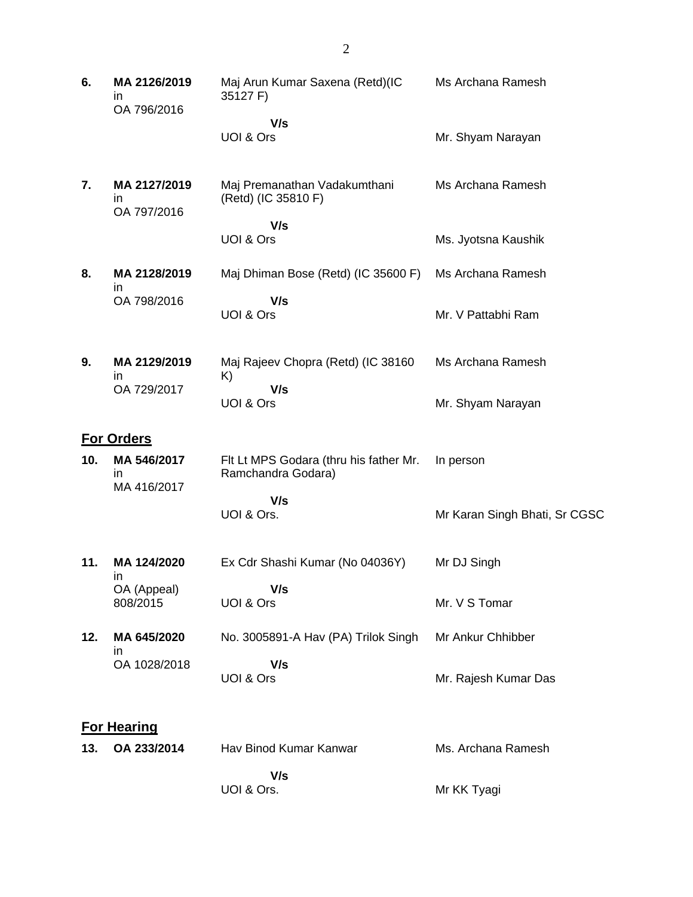| 6.  | MA 2126/2019<br>ın<br>OA 796/2016 | Maj Arun Kumar Saxena (Retd)(IC<br>35127 F)                  | Ms Archana Ramesh             |
|-----|-----------------------------------|--------------------------------------------------------------|-------------------------------|
|     |                                   | V/s<br>UOI & Ors                                             | Mr. Shyam Narayan             |
| 7.  | MA 2127/2019<br>ın<br>OA 797/2016 | Maj Premanathan Vadakumthani<br>(Retd) (IC 35810 F)          | Ms Archana Ramesh             |
|     |                                   | V/s<br>UOI & Ors                                             | Ms. Jyotsna Kaushik           |
| 8.  | MA 2128/2019<br>in                | Maj Dhiman Bose (Retd) (IC 35600 F)                          | Ms Archana Ramesh             |
|     | OA 798/2016                       | V/s<br>UOI & Ors                                             | Mr. V Pattabhi Ram            |
| 9.  | MA 2129/2019<br>in                | Maj Rajeev Chopra (Retd) (IC 38160<br>K)                     | Ms Archana Ramesh             |
|     | OA 729/2017                       | V/s<br>UOI & Ors                                             | Mr. Shyam Narayan             |
|     | <b>For Orders</b>                 |                                                              |                               |
| 10. | MA 546/2017<br>ın<br>MA 416/2017  | Flt Lt MPS Godara (thru his father Mr.<br>Ramchandra Godara) | In person                     |
|     |                                   | V/s<br>UOI & Ors.                                            | Mr Karan Singh Bhati, Sr CGSC |
| 11. | MA 124/2020<br>ın                 | Ex Cdr Shashi Kumar (No 04036Y)                              | Mr DJ Singh                   |
|     | OA (Appeal)<br>808/2015           | V/s<br>UOI & Ors                                             | Mr. V S Tomar                 |
| 12. | MA 645/2020<br>in                 | No. 3005891-A Hav (PA) Trilok Singh                          | Mr Ankur Chhibber             |
|     | OA 1028/2018                      | V/s<br>UOI & Ors                                             | Mr. Rajesh Kumar Das          |
|     | <b>For Hearing</b>                |                                                              |                               |
| 13. | OA 233/2014                       | Hav Binod Kumar Kanwar                                       | Ms. Archana Ramesh            |
|     |                                   | V/s<br>UOI & Ors.                                            | Mr KK Tyagi                   |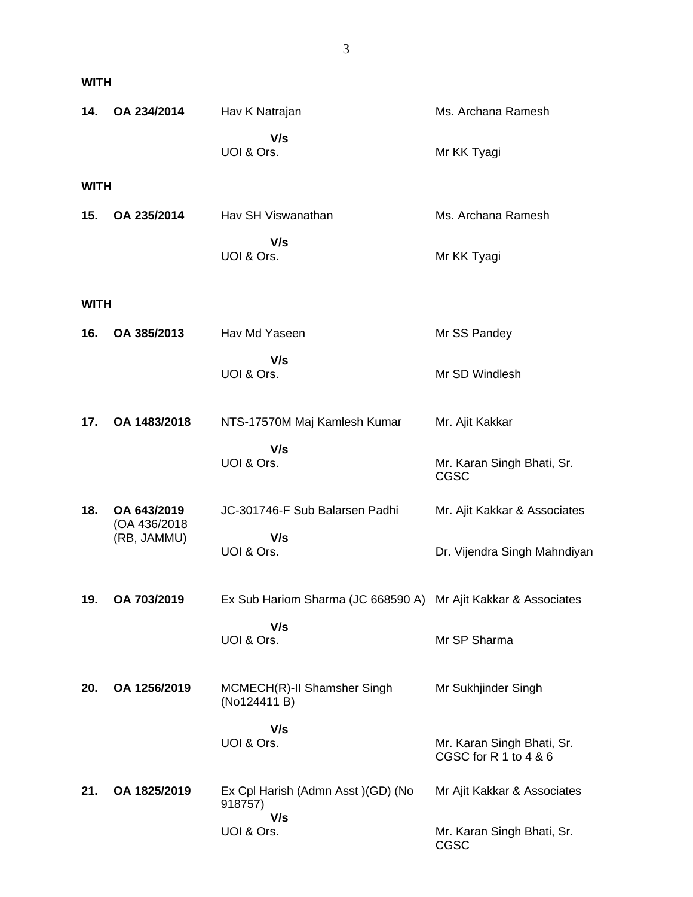| 14.         | OA 234/2014                 | Hav K Natrajan                                                 | Ms. Archana Ramesh                                  |
|-------------|-----------------------------|----------------------------------------------------------------|-----------------------------------------------------|
|             |                             | V/s<br>UOI & Ors.                                              | Mr KK Tyagi                                         |
| <b>WITH</b> |                             |                                                                |                                                     |
| 15.         | OA 235/2014                 | Hav SH Viswanathan                                             | Ms. Archana Ramesh                                  |
|             |                             | V/s<br>UOI & Ors.                                              | Mr KK Tyagi                                         |
| <b>WITH</b> |                             |                                                                |                                                     |
| 16.         | OA 385/2013                 | Hav Md Yaseen                                                  | Mr SS Pandey                                        |
|             |                             | V/s<br>UOI & Ors.                                              | Mr SD Windlesh                                      |
| 17.         | OA 1483/2018                | NTS-17570M Maj Kamlesh Kumar                                   | Mr. Ajit Kakkar                                     |
|             |                             | V/s<br>UOI & Ors.                                              | Mr. Karan Singh Bhati, Sr.<br><b>CGSC</b>           |
| 18.         | OA 643/2019                 | JC-301746-F Sub Balarsen Padhi                                 | Mr. Ajit Kakkar & Associates                        |
|             | (OA 436/2018<br>(RB, JAMMU) | V/s<br>UOI & Ors.                                              | Dr. Vijendra Singh Mahndiyan                        |
| 19.         | OA 703/2019                 | Ex Sub Hariom Sharma (JC 668590 A) Mr Ajit Kakkar & Associates |                                                     |
|             |                             | V/s<br>UOI & Ors.                                              | Mr SP Sharma                                        |
| 20.         | OA 1256/2019                | MCMECH(R)-II Shamsher Singh<br>(No124411 B)                    | Mr Sukhjinder Singh                                 |
|             |                             | V/s<br>UOI & Ors.                                              | Mr. Karan Singh Bhati, Sr.<br>CGSC for R 1 to 4 & 6 |
| 21.         | OA 1825/2019                | Ex Cpl Harish (Admn Asst) (GD) (No<br>918757)                  | Mr Ajit Kakkar & Associates                         |
|             |                             | V/s<br>UOI & Ors.                                              | Mr. Karan Singh Bhati, Sr.<br>CGSC                  |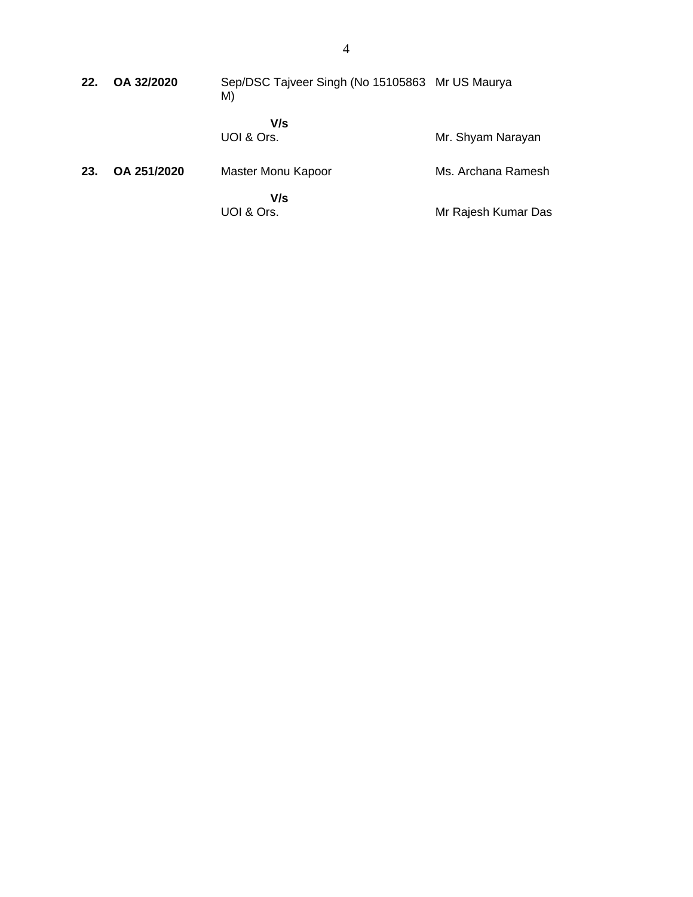| 22. | OA 32/2020  | Sep/DSC Tajveer Singh (No 15105863 Mr US Maurya<br>M) |                     |
|-----|-------------|-------------------------------------------------------|---------------------|
|     |             | V/s<br>UOI & Ors.                                     | Mr. Shyam Narayan   |
| 23. | OA 251/2020 | Master Monu Kapoor                                    | Ms. Archana Ramesh  |
|     |             | V/s<br>UOI & Ors.                                     | Mr Rajesh Kumar Das |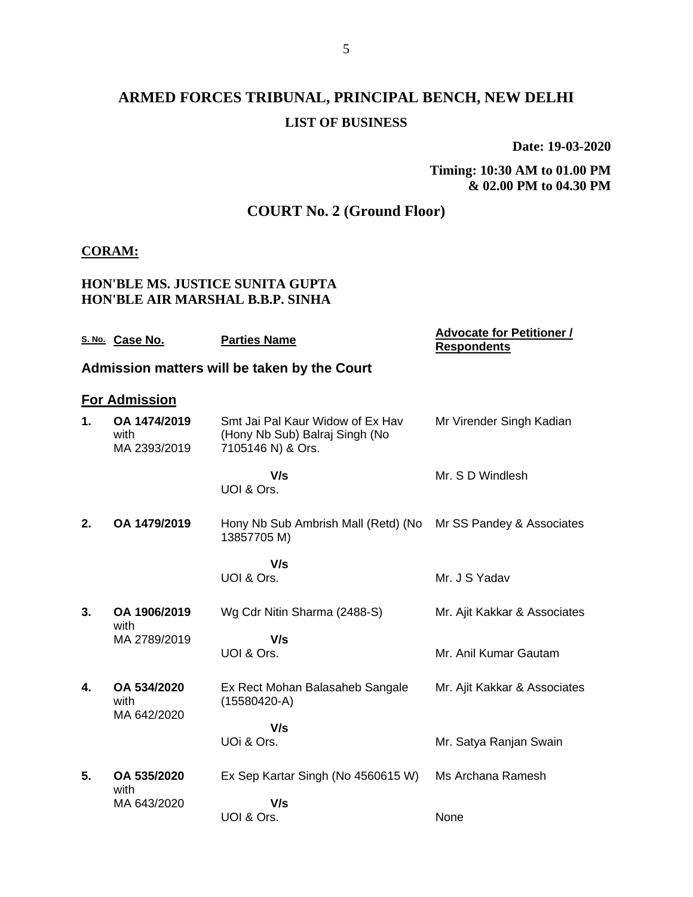# **ARMED FORCES TRIBUNAL, PRINCIPAL BENCH, NEW DELHI LIST OF BUSINESS**

**Date: 19-03-2020**

**Timing: 10:30 AM to 01.00 PM & 02.00 PM to 04.30 PM**

## **COURT No. 2 (Ground Floor)**

#### **CORAM:**

#### **HON'BLE MS. JUSTICE SUNITA GUPTA HON'BLE AIR MARSHAL B.B.P. SINHA**

|    | S. No. Case No.                      | <b>Parties Name</b>                                                                     | <b>Advocate for Petitioner /</b><br><b>Respondents</b> |
|----|--------------------------------------|-----------------------------------------------------------------------------------------|--------------------------------------------------------|
|    |                                      | Admission matters will be taken by the Court                                            |                                                        |
|    | <b>For Admission</b>                 |                                                                                         |                                                        |
| 1. | OA 1474/2019<br>with<br>MA 2393/2019 | Smt Jai Pal Kaur Widow of Ex Hav<br>(Hony Nb Sub) Balraj Singh (No<br>7105146 N) & Ors. | Mr Virender Singh Kadian                               |
|    |                                      | V/s<br>UOI & Ors.                                                                       | Mr. S D Windlesh                                       |
| 2. | OA 1479/2019                         | Hony Nb Sub Ambrish Mall (Retd) (No<br>13857705 M)                                      | Mr SS Pandey & Associates                              |
|    |                                      | V/s<br>UOI & Ors.                                                                       | Mr. J S Yadav                                          |
| 3. | OA 1906/2019<br>with<br>MA 2789/2019 | Wg Cdr Nitin Sharma (2488-S)                                                            | Mr. Ajit Kakkar & Associates                           |
|    |                                      | V/s<br>UOI & Ors.                                                                       | Mr. Anil Kumar Gautam                                  |
| 4. | OA 534/2020<br>with<br>MA 642/2020   | Ex Rect Mohan Balasaheb Sangale<br>$(15580420-A)$                                       | Mr. Ajit Kakkar & Associates                           |
|    |                                      | V/s<br>UOi & Ors.                                                                       | Mr. Satya Ranjan Swain                                 |
| 5. | OA 535/2020<br>with                  | Ex Sep Kartar Singh (No 4560615 W)                                                      | Ms Archana Ramesh                                      |
|    | MA 643/2020                          | V/s<br>UOI & Ors.                                                                       | None                                                   |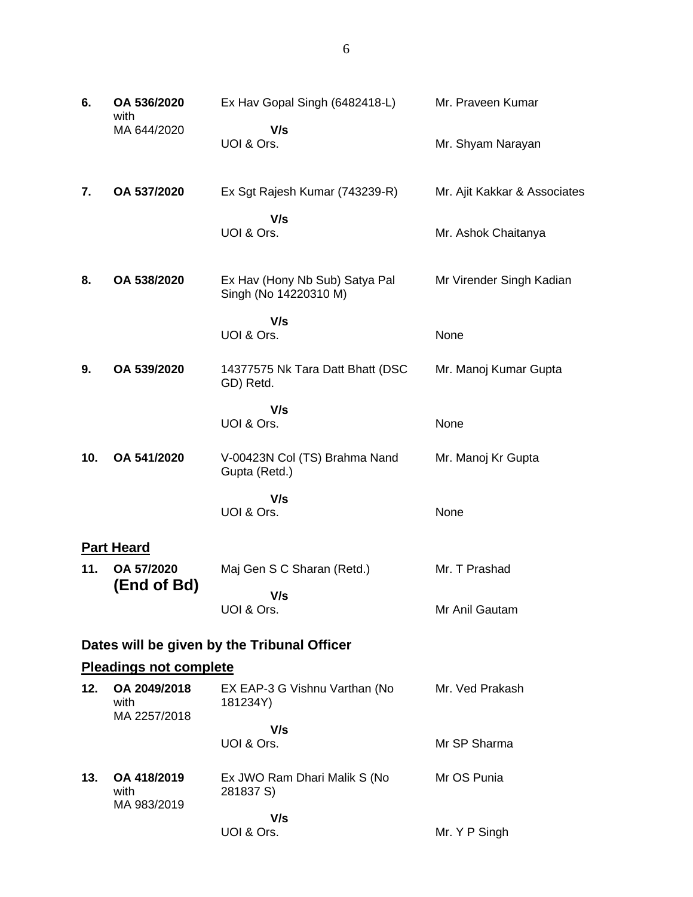| 6.  | OA 536/2020<br>with                  | Ex Hav Gopal Singh (6482418-L)                          | Mr. Praveen Kumar            |
|-----|--------------------------------------|---------------------------------------------------------|------------------------------|
|     | MA 644/2020                          | V/s<br>UOI & Ors.                                       | Mr. Shyam Narayan            |
| 7.  | OA 537/2020                          | Ex Sgt Rajesh Kumar (743239-R)                          | Mr. Ajit Kakkar & Associates |
|     |                                      | V/s<br>UOI & Ors.                                       | Mr. Ashok Chaitanya          |
| 8.  | OA 538/2020                          | Ex Hav (Hony Nb Sub) Satya Pal<br>Singh (No 14220310 M) | Mr Virender Singh Kadian     |
|     |                                      | V/s<br>UOI & Ors.                                       | None                         |
| 9.  | OA 539/2020                          | 14377575 Nk Tara Datt Bhatt (DSC<br>GD) Retd.           | Mr. Manoj Kumar Gupta        |
|     |                                      | V/s<br>UOI & Ors.                                       | None                         |
| 10. | OA 541/2020                          | V-00423N Col (TS) Brahma Nand<br>Gupta (Retd.)          | Mr. Manoj Kr Gupta           |
|     |                                      | V/s<br>UOI & Ors.                                       | None                         |
|     | <b>Part Heard</b>                    |                                                         |                              |
| 11. | OA 57/2020<br>(End of Bd)            | Maj Gen S C Sharan (Retd.)                              | Mr. T Prashad                |
|     |                                      | V/s<br>UOI & Ors.                                       | Mr Anil Gautam               |
|     |                                      | Dates will be given by the Tribunal Officer             |                              |
|     | <b>Pleadings not complete</b>        |                                                         |                              |
| 12. | OA 2049/2018<br>with<br>MA 2257/2018 | EX EAP-3 G Vishnu Varthan (No<br>181234Y)               | Mr. Ved Prakash              |
|     |                                      | V/s<br>UOI & Ors.                                       | Mr SP Sharma                 |
| 13. | OA 418/2019<br>with                  | Ex JWO Ram Dhari Malik S (No<br>281837 S)               | Mr OS Punia                  |

 **V/s** UOI & Ors.

Mr. Y P Singh

MA 983/2019

6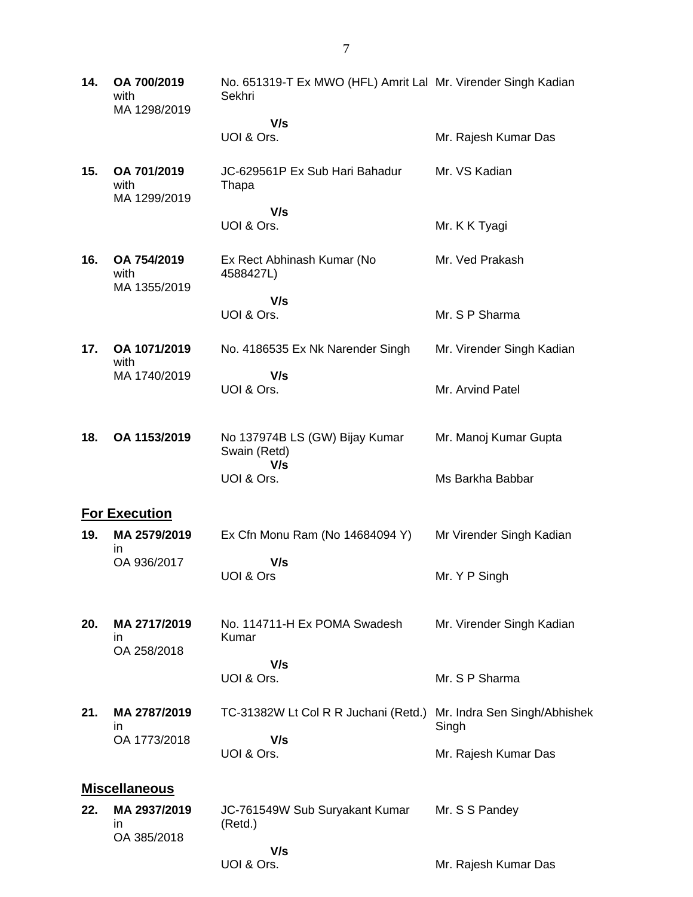| 14. | OA 700/2019<br>with<br>MA 1298/2019 | No. 651319-T Ex MWO (HFL) Amrit Lal Mr. Virender Singh Kadian<br>Sekhri |                                       |
|-----|-------------------------------------|-------------------------------------------------------------------------|---------------------------------------|
|     |                                     | V/s                                                                     |                                       |
|     |                                     | UOI & Ors.                                                              | Mr. Rajesh Kumar Das                  |
| 15. | OA 701/2019<br>with<br>MA 1299/2019 | JC-629561P Ex Sub Hari Bahadur<br>Thapa                                 | Mr. VS Kadian                         |
|     |                                     | V/s                                                                     |                                       |
|     |                                     | UOI & Ors.                                                              | Mr. K K Tyagi                         |
| 16. | OA 754/2019<br>with<br>MA 1355/2019 | Ex Rect Abhinash Kumar (No<br>4588427L)                                 | Mr. Ved Prakash                       |
|     |                                     | V/s                                                                     |                                       |
|     |                                     | UOI & Ors.                                                              | Mr. S P Sharma                        |
| 17. | OA 1071/2019<br>with                | No. 4186535 Ex Nk Narender Singh                                        | Mr. Virender Singh Kadian             |
|     | MA 1740/2019                        | V/s                                                                     |                                       |
|     |                                     | UOI & Ors.                                                              | Mr. Arvind Patel                      |
|     |                                     |                                                                         |                                       |
| 18. | OA 1153/2019                        | No 137974B LS (GW) Bijay Kumar<br>Swain (Retd)<br>V/s                   | Mr. Manoj Kumar Gupta                 |
|     |                                     | UOI & Ors.                                                              | Ms Barkha Babbar                      |
|     | <b>For Execution</b>                |                                                                         |                                       |
| 19. | MA 2579/2019                        | Ex Cfn Monu Ram (No 14684094 Y)                                         | Mr Virender Singh Kadian              |
|     | in.<br>OA 936/2017                  | V/s                                                                     |                                       |
|     |                                     | UOI & Ors                                                               | Mr. Y P Singh                         |
|     |                                     |                                                                         |                                       |
| 20. | MA 2717/2019<br>in.                 | No. 114711-H Ex POMA Swadesh<br>Kumar                                   | Mr. Virender Singh Kadian             |
|     | OA 258/2018                         | V/s                                                                     |                                       |
|     |                                     | UOI & Ors.                                                              | Mr. S P Sharma                        |
| 21. | MA 2787/2019<br>in                  | TC-31382W Lt Col R R Juchani (Retd.)                                    | Mr. Indra Sen Singh/Abhishek<br>Singh |
|     | OA 1773/2018                        | V/s<br>UOI & Ors.                                                       | Mr. Rajesh Kumar Das                  |
|     |                                     |                                                                         |                                       |
|     | <b>Miscellaneous</b>                |                                                                         |                                       |
| 22. | MA 2937/2019<br>in                  | JC-761549W Sub Suryakant Kumar<br>(Retd.)                               | Mr. S S Pandey                        |
|     | OA 385/2018                         | V/s                                                                     |                                       |

UOI & Ors.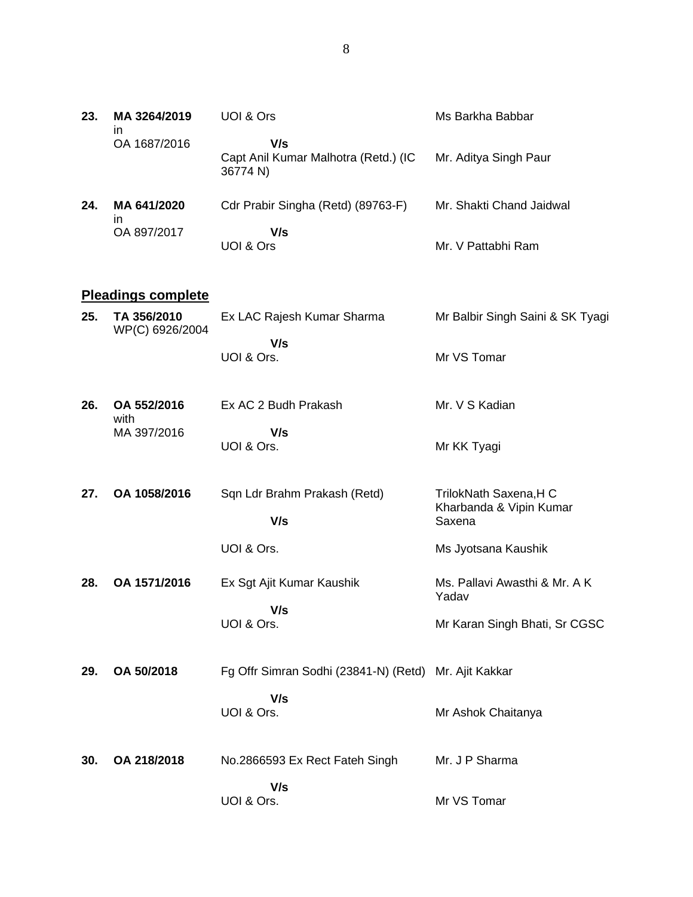| 23. | MA 3264/2019<br>in | UOI & Ors                                               | Ms Barkha Babbar         |
|-----|--------------------|---------------------------------------------------------|--------------------------|
|     | OA 1687/2016       | V/s<br>Capt Anil Kumar Malhotra (Retd.) (IC<br>36774 N) | Mr. Aditya Singh Paur    |
| 24. | MA 641/2020<br>ın  | Cdr Prabir Singha (Retd) (89763-F)                      | Mr. Shakti Chand Jaidwal |
|     | OA 897/2017        | V/s<br>UOI & Ors                                        | Mr. V Pattabhi Ram       |

## **Pleadings complete**

| 25. TA 356/2010<br>WP(C) 6926/2004 | Ex LAC Rajesh Kumar Sharma | Mr Balbir Singh Saini & SK Tyagi |
|------------------------------------|----------------------------|----------------------------------|
|                                    | V/s<br>UOI & Ors.          | Mr VS Tomar                      |

| 26. | OA 552/2016<br>with | Ex AC 2 Budh Prakash     | Mr. V S Kadian |
|-----|---------------------|--------------------------|----------------|
|     | MA 397/2016         | <b>V/s</b><br>UOI & Ors. | Mr KK Tyagi    |
|     |                     |                          |                |

| 27. | OA 1058/2016 | Sqn Ldr Brahm Prakash (Retd)<br>V/s | TrilokNath Saxena, HC<br>Kharbanda & Vipin Kumar<br>Saxena |
|-----|--------------|-------------------------------------|------------------------------------------------------------|
|     |              |                                     |                                                            |
|     |              | UOI & Ors.                          | Ms Jyotsana Kaushik                                        |

#### **28. OA 1571/2016** Ex Sgt Ajit Kumar Kaushik  **V/s** UOI & Ors. Ms. Pallavi Awasthi & Mr. A K Yadav Mr Karan Singh Bhati, Sr CGSC

- **29. OA 50/2018** Fg Offr Simran Sodhi (23841-N) (Retd) Mr. Ajit Kakkar  **V/s** UOI & Ors. Mr Ashok Chaitanya
- **30. OA 218/2018** No.2866593 Ex Rect Fateh Singh  **V/s** UOI & Ors. Mr. J P Sharma Mr VS Tomar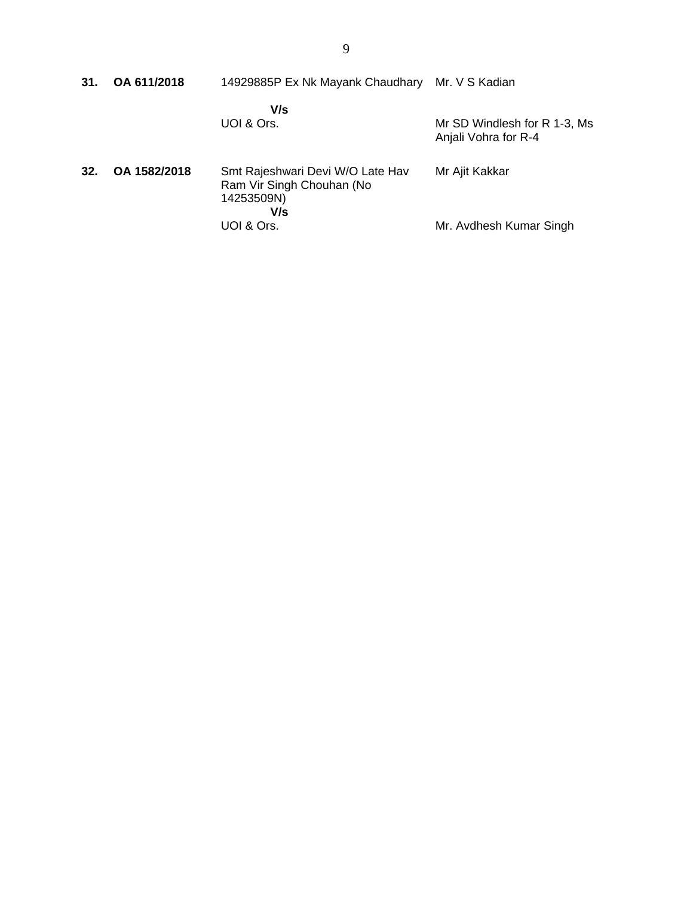| 31. | OA 611/2018  | 14929885P Ex Nk Mayank Chaudhary Mr. V S Kadian                                    |                                                      |
|-----|--------------|------------------------------------------------------------------------------------|------------------------------------------------------|
|     |              | V/s<br>UOI & Ors.                                                                  | Mr SD Windlesh for R 1-3, Ms<br>Anjali Vohra for R-4 |
| 32. | OA 1582/2018 | Smt Rajeshwari Devi W/O Late Hav<br>Ram Vir Singh Chouhan (No<br>14253509N)<br>V/s | Mr Ajit Kakkar                                       |
|     |              | UOI & Ors.                                                                         | Mr. Avdhesh Kumar Singh                              |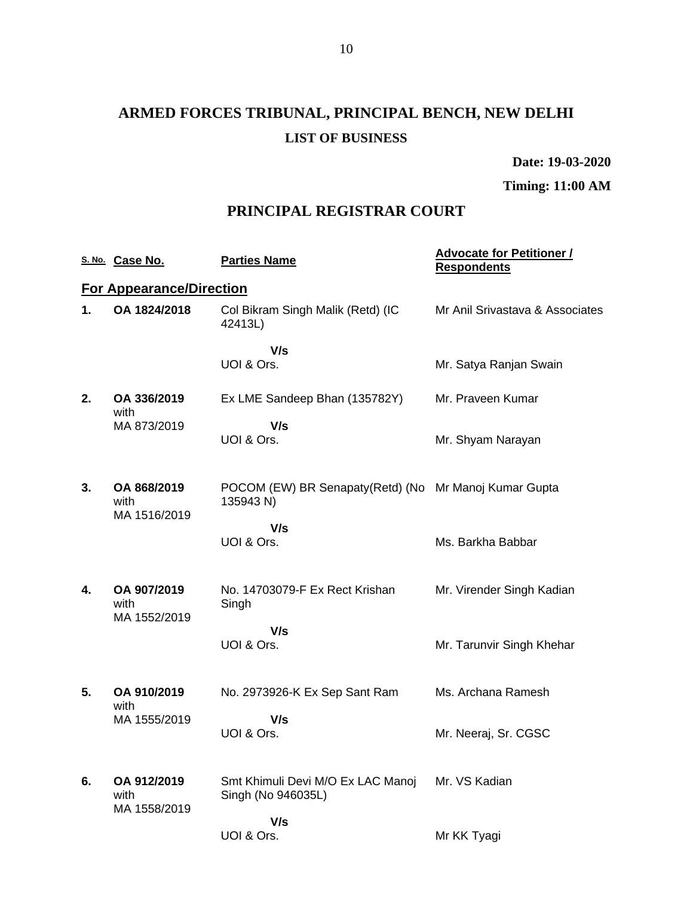# **ARMED FORCES TRIBUNAL, PRINCIPAL BENCH, NEW DELHI LIST OF BUSINESS**

**Date: 19-03-2020**

**Timing: 11:00 AM**

# **PRINCIPAL REGISTRAR COURT**

|    | S. No. Case No.                     | <b>Parties Name</b>                                                 | <b>Advocate for Petitioner /</b><br><b>Respondents</b> |
|----|-------------------------------------|---------------------------------------------------------------------|--------------------------------------------------------|
|    | <b>For Appearance/Direction</b>     |                                                                     |                                                        |
| 1. | OA 1824/2018                        | Col Bikram Singh Malik (Retd) (IC<br>42413L)                        | Mr Anil Srivastava & Associates                        |
|    |                                     | V/s<br>UOI & Ors.                                                   | Mr. Satya Ranjan Swain                                 |
| 2. | OA 336/2019<br>with                 | Ex LME Sandeep Bhan (135782Y)                                       | Mr. Praveen Kumar                                      |
|    | MA 873/2019                         | V/s<br>UOI & Ors.                                                   | Mr. Shyam Narayan                                      |
| 3. | OA 868/2019<br>with<br>MA 1516/2019 | POCOM (EW) BR Senapaty (Retd) (No Mr Manoj Kumar Gupta<br>135943 N) |                                                        |
|    |                                     | V/s<br>UOI & Ors.                                                   | Ms. Barkha Babbar                                      |
| 4. | OA 907/2019<br>with<br>MA 1552/2019 | No. 14703079-F Ex Rect Krishan<br>Singh                             | Mr. Virender Singh Kadian                              |
|    |                                     | V/s<br>UOI & Ors.                                                   | Mr. Tarunvir Singh Khehar                              |
| 5. | OA 910/2019<br>with                 | No. 2973926-K Ex Sep Sant Ram                                       | Ms. Archana Ramesh                                     |
|    | MA 1555/2019                        | V/s<br>UOI & Ors.                                                   | Mr. Neeraj, Sr. CGSC                                   |
| 6. | OA 912/2019<br>with<br>MA 1558/2019 | Smt Khimuli Devi M/O Ex LAC Manoj<br>Singh (No 946035L)             | Mr. VS Kadian                                          |
|    |                                     | V/s<br>UOI & Ors.                                                   | Mr KK Tyagi                                            |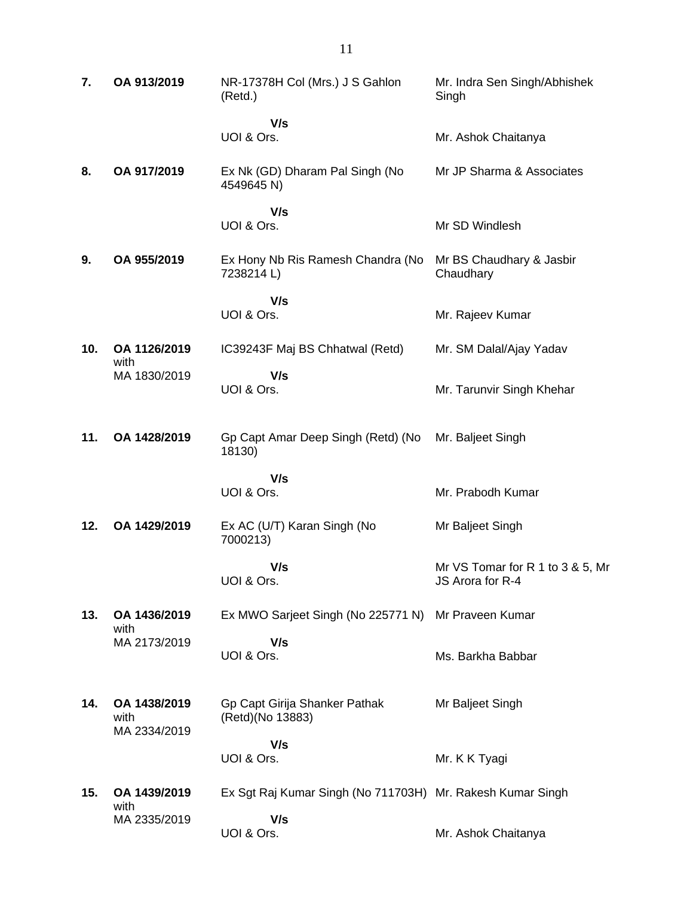| 7.  | OA 913/2019                          | NR-17378H Col (Mrs.) J S Gahlon<br>(Retd.)                 | Mr. Indra Sen Singh/Abhishek<br>Singh                |
|-----|--------------------------------------|------------------------------------------------------------|------------------------------------------------------|
|     |                                      | V/s<br>UOI & Ors.                                          | Mr. Ashok Chaitanya                                  |
| 8.  | OA 917/2019                          | Ex Nk (GD) Dharam Pal Singh (No<br>4549645 N)              | Mr JP Sharma & Associates                            |
|     |                                      | V/s<br>UOI & Ors.                                          | Mr SD Windlesh                                       |
| 9.  | OA 955/2019                          | Ex Hony Nb Ris Ramesh Chandra (No<br>7238214L)             | Mr BS Chaudhary & Jasbir<br>Chaudhary                |
|     |                                      | V/s<br>UOI & Ors.                                          | Mr. Rajeev Kumar                                     |
| 10. | OA 1126/2019                         | IC39243F Maj BS Chhatwal (Retd)                            | Mr. SM Dalal/Ajay Yadav                              |
|     | with<br>MA 1830/2019                 | V/s<br>UOI & Ors.                                          | Mr. Tarunvir Singh Khehar                            |
| 11. | OA 1428/2019                         | Gp Capt Amar Deep Singh (Retd) (No<br>18130)               | Mr. Baljeet Singh                                    |
|     |                                      | V/s<br>UOI & Ors.                                          | Mr. Prabodh Kumar                                    |
| 12. | OA 1429/2019                         | Ex AC (U/T) Karan Singh (No<br>7000213)                    | Mr Baljeet Singh                                     |
|     |                                      | V/s<br>UOI & Ors.                                          | Mr VS Tomar for R 1 to 3 & 5, Mr<br>JS Arora for R-4 |
| 13. | OA 1436/2019                         | Ex MWO Sarjeet Singh (No 225771 N) Mr Praveen Kumar        |                                                      |
|     | with<br>MA 2173/2019                 | V/s<br>UOI & Ors.                                          | Ms. Barkha Babbar                                    |
| 14. | OA 1438/2019<br>with<br>MA 2334/2019 | Gp Capt Girija Shanker Pathak<br>(Retd)(No 13883)          | Mr Baljeet Singh                                     |
|     |                                      | V/s<br>UOI & Ors.                                          | Mr. K K Tyagi                                        |
|     |                                      |                                                            |                                                      |
| 15. | OA 1439/2019<br>with                 | Ex Sgt Raj Kumar Singh (No 711703H) Mr. Rakesh Kumar Singh |                                                      |
|     | MA 2335/2019                         | V/s<br>UOI & Ors.                                          | Mr. Ashok Chaitanya                                  |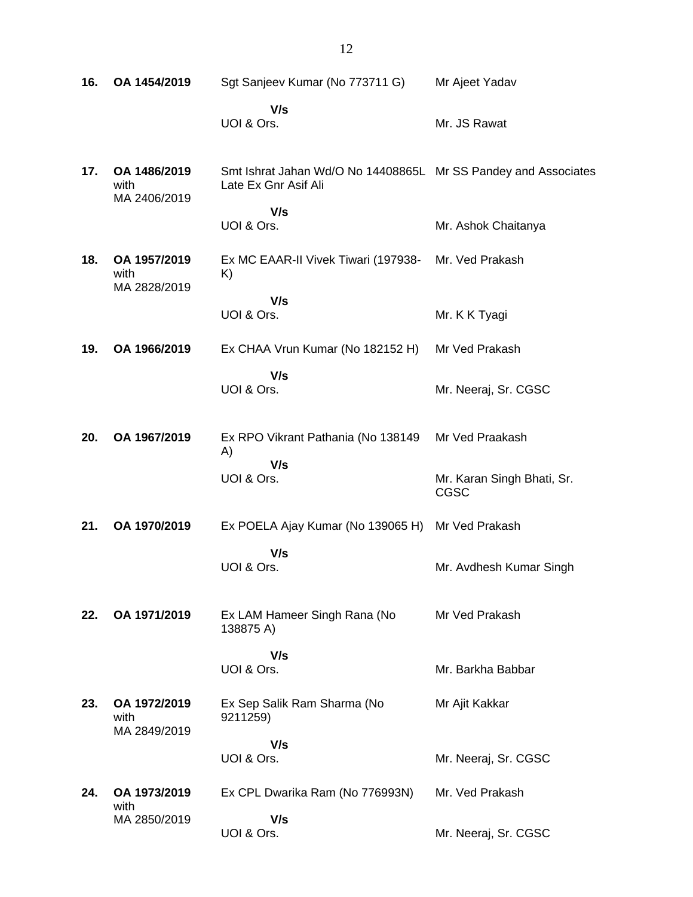| 16. | OA 1454/2019                         | Sgt Sanjeev Kumar (No 773711 G)                                                        | Mr Ajeet Yadav                     |
|-----|--------------------------------------|----------------------------------------------------------------------------------------|------------------------------------|
|     |                                      | V/s<br>UOI & Ors.                                                                      | Mr. JS Rawat                       |
| 17. | OA 1486/2019<br>with<br>MA 2406/2019 | Smt Ishrat Jahan Wd/O No 14408865L Mr SS Pandey and Associates<br>Late Ex Gnr Asif Ali |                                    |
|     |                                      | V/s<br>UOI & Ors.                                                                      | Mr. Ashok Chaitanya                |
| 18. | OA 1957/2019<br>with<br>MA 2828/2019 | Ex MC EAAR-II Vivek Tiwari (197938-<br>K)                                              | Mr. Ved Prakash                    |
|     |                                      | V/s<br>UOI & Ors.                                                                      | Mr. K K Tyagi                      |
| 19. | OA 1966/2019                         | Ex CHAA Vrun Kumar (No 182152 H)                                                       | Mr Ved Prakash                     |
|     |                                      | V/s<br>UOI & Ors.                                                                      | Mr. Neeraj, Sr. CGSC               |
| 20. | OA 1967/2019                         | Ex RPO Vikrant Pathania (No 138149<br>A)                                               | Mr Ved Praakash                    |
|     |                                      | V/s<br>UOI & Ors.                                                                      | Mr. Karan Singh Bhati, Sr.<br>CGSC |
| 21. | OA 1970/2019                         | Ex POELA Ajay Kumar (No 139065 H)                                                      | Mr Ved Prakash                     |
|     |                                      | V/s<br>UOI & Ors.                                                                      | Mr. Avdhesh Kumar Singh            |
| 22. | OA 1971/2019                         | Ex LAM Hameer Singh Rana (No<br>138875 A)                                              | Mr Ved Prakash                     |
|     |                                      | V/s<br>UOI & Ors.                                                                      | Mr. Barkha Babbar                  |
| 23. | OA 1972/2019<br>with                 | Ex Sep Salik Ram Sharma (No<br>9211259)                                                | Mr Ajit Kakkar                     |
|     | MA 2849/2019                         | V/s<br>UOI & Ors.                                                                      | Mr. Neeraj, Sr. CGSC               |
| 24. | OA 1973/2019<br>with                 | Ex CPL Dwarika Ram (No 776993N)                                                        | Mr. Ved Prakash                    |
|     | MA 2850/2019                         | V/s<br>UOI & Ors.                                                                      | Mr. Neeraj, Sr. CGSC               |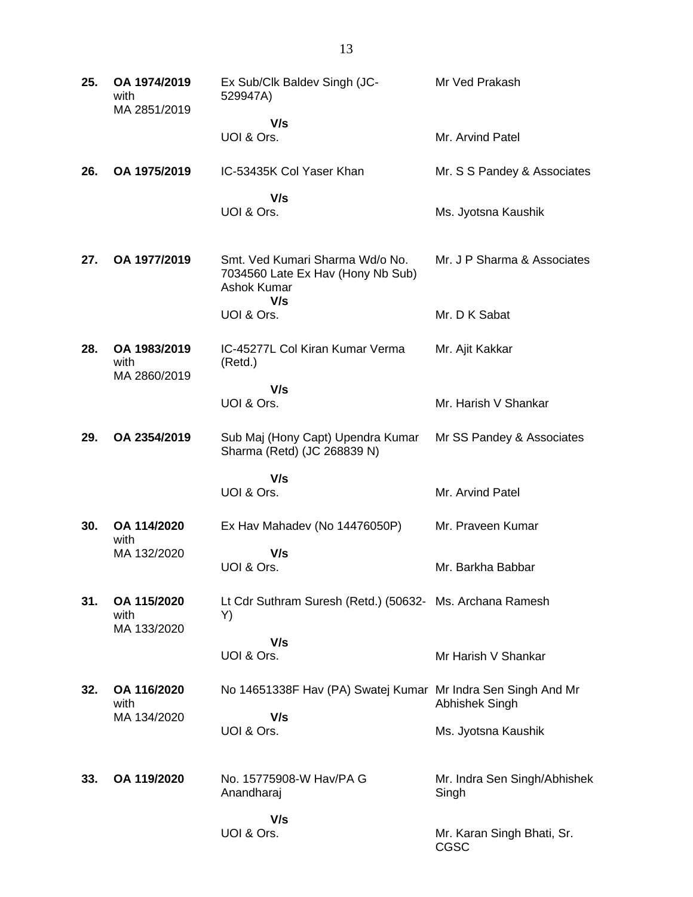| 25. | OA 1974/2019<br>with<br>MA 2851/2019 | Ex Sub/Clk Baldev Singh (JC-<br>529947A)                                            | Mr Ved Prakash                        |
|-----|--------------------------------------|-------------------------------------------------------------------------------------|---------------------------------------|
|     |                                      | V/s<br>UOI & Ors.                                                                   | Mr. Arvind Patel                      |
| 26. | OA 1975/2019                         | IC-53435K Col Yaser Khan                                                            | Mr. S S Pandey & Associates           |
|     |                                      | V/s<br>UOI & Ors.                                                                   | Ms. Jyotsna Kaushik                   |
| 27. | OA 1977/2019                         | Smt. Ved Kumari Sharma Wd/o No.<br>7034560 Late Ex Hav (Hony Nb Sub)<br>Ashok Kumar | Mr. J P Sharma & Associates           |
|     |                                      | V/s<br>UOI & Ors.                                                                   | Mr. D K Sabat                         |
| 28. | OA 1983/2019<br>with<br>MA 2860/2019 | IC-45277L Col Kiran Kumar Verma<br>(Retd.)                                          | Mr. Ajit Kakkar                       |
|     |                                      | V/s<br>UOI & Ors.                                                                   | Mr. Harish V Shankar                  |
|     |                                      |                                                                                     |                                       |
| 29. | OA 2354/2019                         | Sub Maj (Hony Capt) Upendra Kumar<br>Sharma (Retd) (JC 268839 N)                    | Mr SS Pandey & Associates             |
|     |                                      | V/s                                                                                 |                                       |
|     |                                      | UOI & Ors.                                                                          | Mr. Arvind Patel                      |
| 30. | OA 114/2020<br>with                  | Ex Hav Mahadev (No 14476050P)                                                       | Mr. Praveen Kumar                     |
|     | MA 132/2020                          | V/s<br>UOI & Ors.                                                                   | Mr. Barkha Babbar                     |
| 31. | OA 115/2020<br>with<br>MA 133/2020   | Lt Cdr Suthram Suresh (Retd.) (50632- Ms. Archana Ramesh<br>Y)                      |                                       |
|     |                                      | V/s                                                                                 |                                       |
|     |                                      | UOI & Ors.                                                                          | Mr Harish V Shankar                   |
| 32. | OA 116/2020<br>with                  | No 14651338F Hav (PA) Swatej Kumar Mr Indra Sen Singh And Mr                        | Abhishek Singh                        |
|     | MA 134/2020                          | V/s<br>UOI & Ors.                                                                   | Ms. Jyotsna Kaushik                   |
| 33. | OA 119/2020                          | No. 15775908-W Hav/PA G<br>Anandharaj                                               | Mr. Indra Sen Singh/Abhishek<br>Singh |
|     |                                      | V/s<br>UOI & Ors.                                                                   | Mr. Karan Singh Bhati, Sr.<br>CGSC    |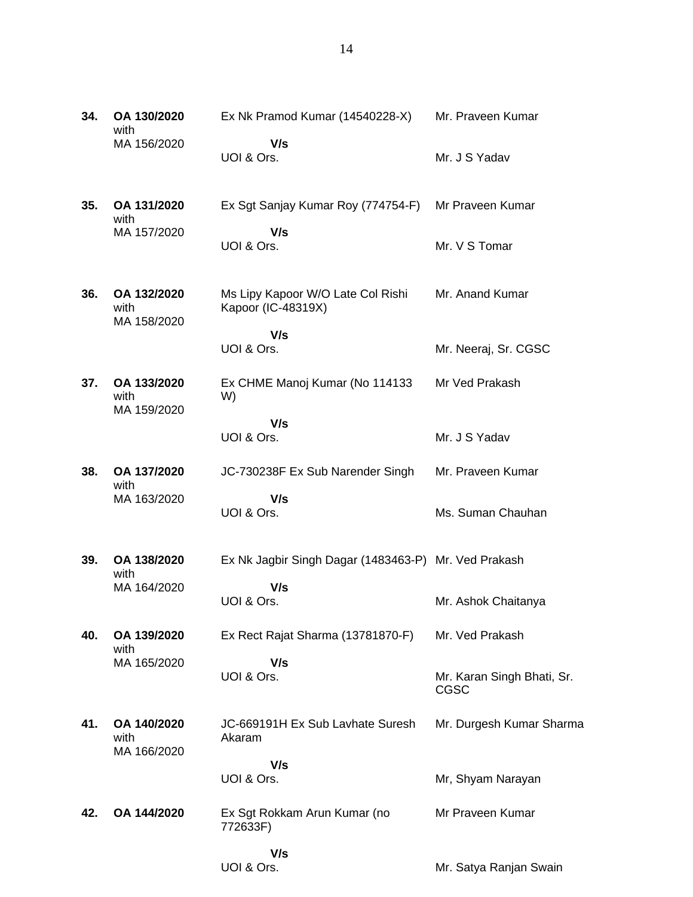| 34. | OA 130/2020<br>with                | Ex Nk Pramod Kumar (14540228-X)                         | Mr. Praveen Kumar                  |
|-----|------------------------------------|---------------------------------------------------------|------------------------------------|
|     | MA 156/2020                        | V/s<br>UOI & Ors.                                       | Mr. J S Yadav                      |
| 35. | OA 131/2020<br>with                | Ex Sgt Sanjay Kumar Roy (774754-F)                      | Mr Praveen Kumar                   |
|     | MA 157/2020                        | V/s<br>UOI & Ors.                                       | Mr. V S Tomar                      |
| 36. | OA 132/2020<br>with                | Ms Lipy Kapoor W/O Late Col Rishi<br>Kapoor (IC-48319X) | Mr. Anand Kumar                    |
|     | MA 158/2020                        | V/s<br>UOI & Ors.                                       | Mr. Neeraj, Sr. CGSC               |
| 37. | OA 133/2020<br>with<br>MA 159/2020 | Ex CHME Manoj Kumar (No 114133<br>W)                    | Mr Ved Prakash                     |
|     |                                    | V/s<br>UOI & Ors.                                       | Mr. J S Yadav                      |
| 38. | OA 137/2020<br>with                | JC-730238F Ex Sub Narender Singh                        | Mr. Praveen Kumar                  |
|     | MA 163/2020                        | V/s<br>UOI & Ors.                                       | Ms. Suman Chauhan                  |
| 39. | OA 138/2020<br>with                | Ex Nk Jagbir Singh Dagar (1483463-P) Mr. Ved Prakash    |                                    |
|     | MA 164/2020                        | V/s<br>UOI & Ors.                                       | Mr. Ashok Chaitanya                |
| 40. | OA 139/2020<br>with                | Ex Rect Rajat Sharma (13781870-F)                       | Mr. Ved Prakash                    |
|     | MA 165/2020                        | V/s<br>UOI & Ors.                                       | Mr. Karan Singh Bhati, Sr.<br>CGSC |
| 41. | OA 140/2020<br>with<br>MA 166/2020 | JC-669191H Ex Sub Layhate Suresh<br>Akaram              | Mr. Durgesh Kumar Sharma           |
|     |                                    | V/s<br>UOI & Ors.                                       | Mr, Shyam Narayan                  |
|     |                                    |                                                         |                                    |
| 42. | OA 144/2020                        | Ex Sgt Rokkam Arun Kumar (no<br>772633F)                | Mr Praveen Kumar                   |

 **V/s** UOI & Ors.

Mr. Satya Ranjan Swain